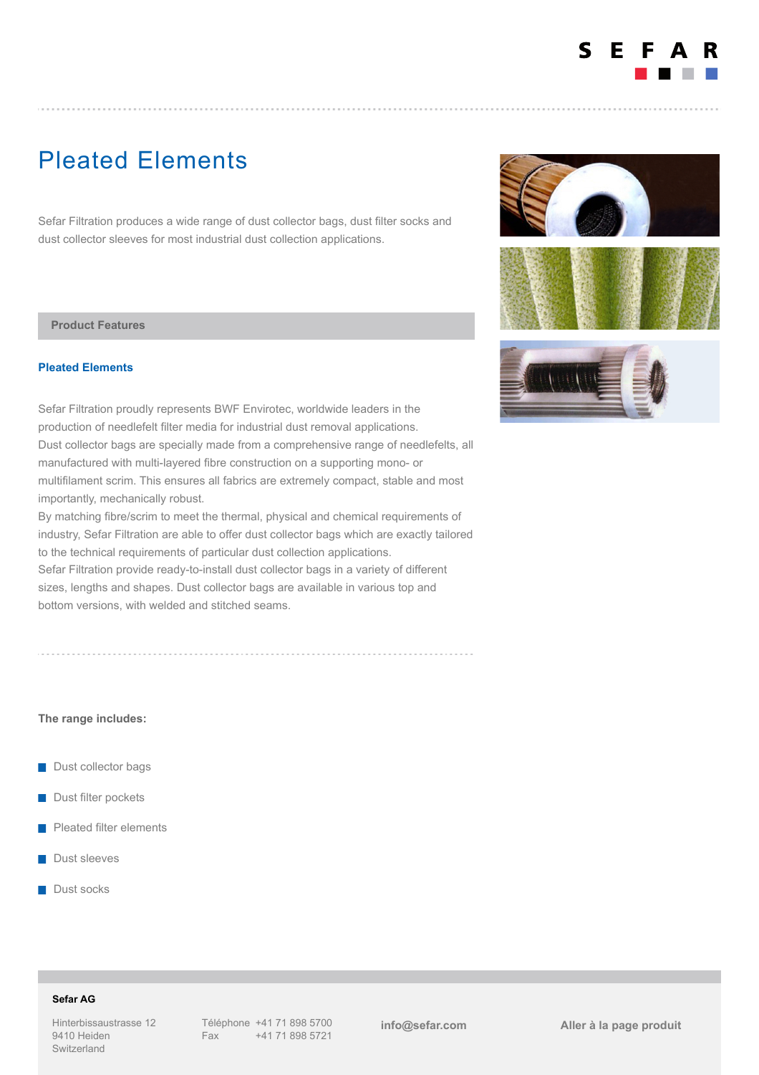

# Pleated Elements

Sefar Filtration produces a wide range of dust collector bags, dust filter socks and dust collector sleeves for most industrial dust collection applications.

#### **Product Features**

### **Pleated Elements**

Sefar Filtration proudly represents BWF Envirotec, worldwide leaders in the production of needlefelt filter media for industrial dust removal applications. Dust collector bags are specially made from a comprehensive range of needlefelts, all manufactured with multi-layered fibre construction on a supporting mono- or multifilament scrim. This ensures all fabrics are extremely compact, stable and most importantly, mechanically robust.

By matching fibre/scrim to meet the thermal, physical and chemical requirements of industry, Sefar Filtration are able to offer dust collector bags which are exactly tailored to the technical requirements of particular dust collection applications.

Sefar Filtration provide ready-to-install dust collector bags in a variety of different sizes, lengths and shapes. Dust collector bags are available in various top and bottom versions, with welded and stitched seams.

**The range includes:**

- Dust collector bags
- **Dust filter pockets**
- Pleated filter elements
- **Dust sleeves**
- Dust socks







# **Sefar AG**

Hinterbissaustrasse 12 9410 Heiden Switzerland

**[info@sefar.com](mailto:info@sefar.com) [Aller à la page prod](https://www.sefar.com/fr/609/Filtration%20Industrielle/Mineral/Product.htm?Folder=6917164)uit**